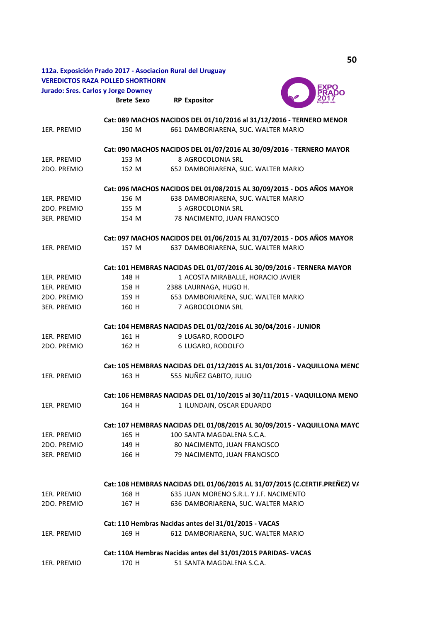|             |                                                                            | 112a. Exposición Prado 2017 - Asociacion Rural del Uruguay              |  |
|-------------|----------------------------------------------------------------------------|-------------------------------------------------------------------------|--|
|             | <b>VEREDICTOS RAZA POLLED SHORTHORN</b>                                    |                                                                         |  |
|             | <b>Jurado: Sres. Carlos y Jorge Downey</b>                                 | EXPO                                                                    |  |
|             | <b>Brete Sexo</b>                                                          | <b>RP Expositor</b>                                                     |  |
|             |                                                                            | Cat: 089 MACHOS NACIDOS DEL 01/10/2016 al 31/12/2016 - TERNERO MENOR    |  |
| 1ER. PREMIO | 150 M                                                                      | 661 DAMBORIARENA, SUC. WALTER MARIO                                     |  |
|             |                                                                            | Cat: 090 MACHOS NACIDOS DEL 01/07/2016 AL 30/09/2016 - TERNERO MAYOR    |  |
| 1ER. PREMIO | 153 M                                                                      | 8 AGROCOLONIA SRL                                                       |  |
| 2DO. PREMIO | 152 M                                                                      | 652 DAMBORIARENA, SUC. WALTER MARIO                                     |  |
|             |                                                                            | Cat: 096 MACHOS NACIDOS DEL 01/08/2015 AL 30/09/2015 - DOS AÑOS MAYOR   |  |
| 1ER. PREMIO | 156 M                                                                      | 638 DAMBORIARENA, SUC. WALTER MARIO                                     |  |
| 2DO. PREMIO | 155 M                                                                      | 5 AGROCOLONIA SRL                                                       |  |
| 3ER. PREMIO | 154 M                                                                      | 78 NACIMENTO, JUAN FRANCISCO                                            |  |
|             |                                                                            | Cat: 097 MACHOS NACIDOS DEL 01/06/2015 AL 31/07/2015 - DOS AÑOS MAYOR   |  |
| 1ER. PREMIO | 157 M                                                                      | 637 DAMBORIARENA, SUC. WALTER MARIO                                     |  |
|             |                                                                            | Cat: 101 HEMBRAS NACIDAS DEL 01/07/2016 AL 30/09/2016 - TERNERA MAYOR   |  |
| 1ER. PREMIO | 148 H                                                                      | 1 ACOSTA MIRABALLE, HORACIO JAVIER                                      |  |
| 1ER. PREMIO | 158 H                                                                      | 2388 LAURNAGA, HUGO H.                                                  |  |
| 2DO. PREMIO | 159 H                                                                      | 653 DAMBORIARENA, SUC. WALTER MARIO                                     |  |
| 3ER. PREMIO | 160 H                                                                      | 7 AGROCOLONIA SRL                                                       |  |
|             |                                                                            | Cat: 104 HEMBRAS NACIDAS DEL 01/02/2016 AL 30/04/2016 - JUNIOR          |  |
| 1ER. PREMIO | 161 H                                                                      | 9 LUGARO, RODOLFO                                                       |  |
| 2DO. PREMIO | 162 H                                                                      | 6 LUGARO, RODOLFO                                                       |  |
|             |                                                                            | Cat: 105 HEMBRAS NACIDAS DEL 01/12/2015 AL 31/01/2016 - VAQUILLONA MENC |  |
| 1ER. PREMIO | 163 H                                                                      | 555 NUÑEZ GABITO, JULIO                                                 |  |
|             |                                                                            | Cat: 106 HEMBRAS NACIDAS DEL 01/10/2015 al 30/11/2015 - VAQUILLONA MENO |  |
| 1ER. PREMIO | 164 H                                                                      | 1 ILUNDAIN, OSCAR EDUARDO                                               |  |
|             |                                                                            | Cat: 107 HEMBRAS NACIDAS DEL 01/08/2015 AL 30/09/2015 - VAQUILLONA MAYC |  |
| 1ER. PREMIO | 165 H                                                                      | 100 SANTA MAGDALENA S.C.A.                                              |  |
| 2DO. PREMIO | 149 H                                                                      | 80 NACIMENTO, JUAN FRANCISCO                                            |  |
| 3ER. PREMIO | 166 H                                                                      | 79 NACIMENTO, JUAN FRANCISCO                                            |  |
|             | Cat: 108 HEMBRAS NACIDAS DEL 01/06/2015 AL 31/07/2015 (C.CERTIF.PREÑEZ) VA |                                                                         |  |
| 1ER. PREMIO | 168 H                                                                      | 635 JUAN MORENO S.R.L. Y J.F. NACIMENTO                                 |  |
| 2DO. PREMIO | 167 H                                                                      | 636 DAMBORIARENA, SUC. WALTER MARIO                                     |  |
|             |                                                                            | Cat: 110 Hembras Nacidas antes del 31/01/2015 - VACAS                   |  |
| 1ER. PREMIO | 169 H                                                                      | 612 DAMBORIARENA, SUC. WALTER MARIO                                     |  |
|             |                                                                            | Cat: 110A Hembras Nacidas antes del 31/01/2015 PARIDAS- VACAS           |  |
| 1ER. PREMIO | 170 H                                                                      | 51 SANTA MAGDALENA S.C.A.                                               |  |

**50**